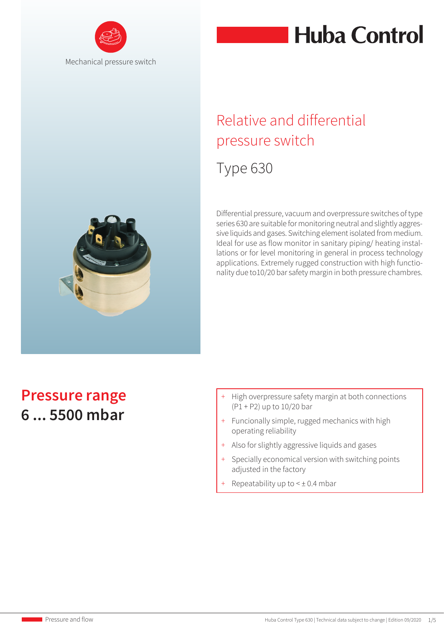



## Relative and differential pressure switch

## Type 630

Differential pressure, vacuum and overpressure switches of type series 630 are suitable for monitoring neutral and slightly aggressive liquids and gases. Switching element isolated from medium. Ideal for use as flow monitor in sanitary piping/ heating installations or for level monitoring in general in process technology applications. Extremely rugged construction with high functionality due to10/20 bar safety margin in both pressure chambres.

## **Pressure range 6 ... 5500 mbar**

- + High overpressure safety margin at both connections (P1 + P2) up to 10/20 bar
- + Funcionally simple, rugged mechanics with high operating reliability
- + Also for slightly aggressive liquids and gases
- + Specially economical version with switching points adjusted in the factory
- Repeatability up to  $\leq \pm 0.4$  mbar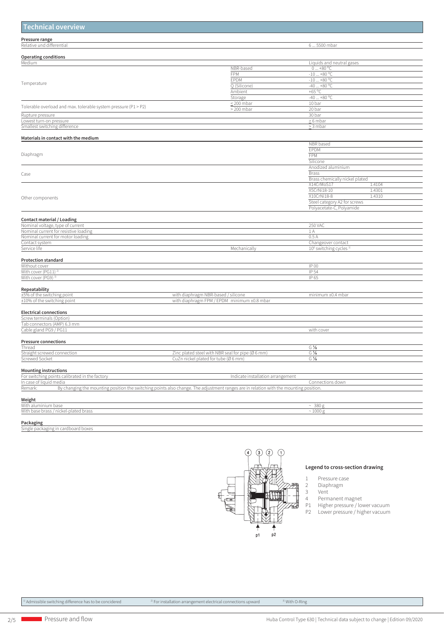| <b>Technical overview</b>                                       |                                                                                                                                       |                                                |  |
|-----------------------------------------------------------------|---------------------------------------------------------------------------------------------------------------------------------------|------------------------------------------------|--|
| Pressure range                                                  |                                                                                                                                       |                                                |  |
| Relative und differential                                       |                                                                                                                                       | 65500 mbar                                     |  |
|                                                                 |                                                                                                                                       |                                                |  |
| <b>Operating conditions</b><br>Medium                           |                                                                                                                                       | Liquids and neutral gases                      |  |
|                                                                 | NBR-based                                                                                                                             | $0+80 °C$                                      |  |
|                                                                 | FPM                                                                                                                                   | $-10+80 °C$                                    |  |
|                                                                 | EPDM                                                                                                                                  | $-10+80 °C$                                    |  |
| Temperature                                                     | Q (Silicone)                                                                                                                          | $-40+80 °C$                                    |  |
|                                                                 | Ambient                                                                                                                               | +65 $\degree$ C                                |  |
|                                                                 | Storage<br>$\leq$ 200 mbar                                                                                                            | $-40+80 °C$<br>10 bar                          |  |
| Tolerable overload and max. tolerable system pressure (P1 > P2) | $> 200$ mbar                                                                                                                          | 20 bar                                         |  |
| Rupture pressure                                                |                                                                                                                                       | 30 bar                                         |  |
| Lowest turn-on pressure                                         |                                                                                                                                       | $\geq 6$ mbar                                  |  |
| Smallest switching difference                                   |                                                                                                                                       | $\geq$ 3 mbar                                  |  |
| Materials in contact with the medium                            |                                                                                                                                       |                                                |  |
|                                                                 |                                                                                                                                       | NBR based                                      |  |
|                                                                 |                                                                                                                                       | EPDM                                           |  |
| Diaphragm                                                       |                                                                                                                                       | <b>FPM</b>                                     |  |
|                                                                 |                                                                                                                                       | Silicone<br>Anodized aluminium                 |  |
| Case                                                            |                                                                                                                                       | <b>Brass</b>                                   |  |
|                                                                 |                                                                                                                                       | Brass chemically nickel plated                 |  |
|                                                                 |                                                                                                                                       | X14CrMoS17<br>1.4104                           |  |
|                                                                 |                                                                                                                                       | X5CrNi18-10<br>1.4301                          |  |
| Other components                                                |                                                                                                                                       | X10CrNi18-8<br>1.4310                          |  |
|                                                                 |                                                                                                                                       | Steel category A2 for screws                   |  |
|                                                                 |                                                                                                                                       | Polyacetate-C, Polyamide                       |  |
| <b>Contact material / Loading</b>                               |                                                                                                                                       |                                                |  |
| Nominal voltage, type of current                                |                                                                                                                                       | <b>250 VAC</b>                                 |  |
| Nominal current for resistive loading                           |                                                                                                                                       | 1 A                                            |  |
| Nominal current for motor loading                               |                                                                                                                                       | 0.5A                                           |  |
| Contact system<br>Service life                                  | Mechanically                                                                                                                          | Changeover contact                             |  |
|                                                                 |                                                                                                                                       | 10 <sup>6</sup> switching cycles <sup>1)</sup> |  |
| <b>Protection standard</b>                                      |                                                                                                                                       |                                                |  |
| Without cover                                                   |                                                                                                                                       | IP 00                                          |  |
| With cover (PG11) <sup>2)</sup>                                 |                                                                                                                                       | IP 54                                          |  |
| With cover (PG9) <sup>3)</sup>                                  |                                                                                                                                       | IP 65                                          |  |
| Repeatability                                                   |                                                                                                                                       |                                                |  |
| ±5% of the switching point                                      | with diaphragm NBR-based / silicone                                                                                                   | minimum ±0.4 mbar                              |  |
| ±10% of the switching point                                     | with diaphragm FPM / EPDM minimum ±0.8 mbar                                                                                           |                                                |  |
| <b>Electrical connections</b>                                   |                                                                                                                                       |                                                |  |
| Screw terminals (Option)                                        |                                                                                                                                       |                                                |  |
| Tab connectors (AMP) 6.3 mm                                     |                                                                                                                                       |                                                |  |
| Cable gland PG9 / PG11                                          |                                                                                                                                       | with cover                                     |  |
| <b>Pressure connections</b>                                     |                                                                                                                                       |                                                |  |
| Thread                                                          |                                                                                                                                       | $G\%$                                          |  |
| Straight screwed connection                                     | Zinc plated steel with NBR seal for pipe (Ø 6 mm)                                                                                     | $G\%$                                          |  |
| Screwed Socket                                                  | CuZn nickel plated for tube (Ø 6 mm)                                                                                                  | $G\%$                                          |  |
| <b>Mounting instructions</b>                                    |                                                                                                                                       |                                                |  |
| For switching points calibrated in the factory                  | Indicate installation arrangement                                                                                                     |                                                |  |
| In case of liquid media                                         |                                                                                                                                       | Connections down                               |  |
| Remark:                                                         | By changing the mounting position the switching points also change. The adjustment ranges are in relation with the mounting position. |                                                |  |
| Weight                                                          |                                                                                                                                       |                                                |  |
| With aluminium base                                             |                                                                                                                                       | $~10^{-380}$ g                                 |  |
| With base brass / nickel-plated brass                           |                                                                                                                                       | ~1000 g                                        |  |
| Packaging                                                       |                                                                                                                                       |                                                |  |
| Single packaging in cardboard boxes                             |                                                                                                                                       |                                                |  |



#### **Legend to cross-section drawing**

1 Pressure case

- 2 Diaphragm
- 
- 4 Permanent magnet
- 2 Diaph<br>3 Vent<br>4 Perm:<br>P1 Highe<br>P2 Lowe P1 Higher pressure / lower vacuum P2 Lower pressure / higher vacuum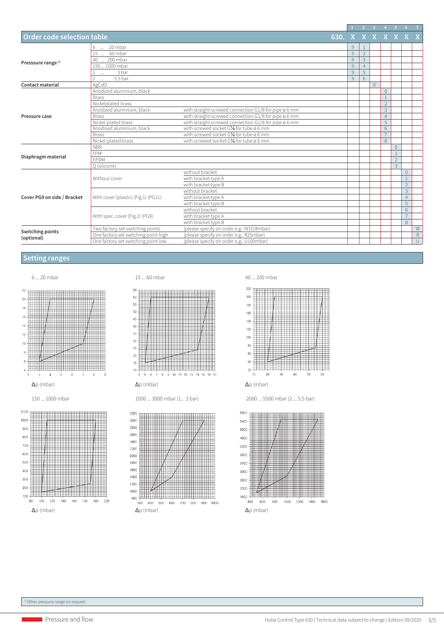|                                       |                                      |                                                       |                |              |                | $2 \quad 3 \quad 4 \quad 5 \quad 6$ |                |                |                |             |
|---------------------------------------|--------------------------------------|-------------------------------------------------------|----------------|--------------|----------------|-------------------------------------|----------------|----------------|----------------|-------------|
| <b>Order code selection table</b>     |                                      |                                                       | 630. X X X X X |              |                |                                     |                |                |                |             |
| Presssure range <sup>1)</sup>         | 20 mbar<br>6                         |                                                       |                | 9            |                |                                     |                |                |                |             |
|                                       | 15  60 mbar                          |                                                       |                | 9            | $\overline{2}$ |                                     |                |                |                |             |
|                                       | 40  200 mbar                         |                                                       |                | 9            | 3              |                                     |                |                |                |             |
|                                       | 150  1000 mbar                       |                                                       |                | $\mathsf{9}$ | $\overline{4}$ |                                     |                |                |                |             |
|                                       | 3 bar<br>$\cdots$                    |                                                       |                | 9            | 5              |                                     |                |                |                |             |
|                                       | $\mathcal{P}$<br>5.5 bar<br>$\cdots$ |                                                       |                | 9            | 6              |                                     |                |                |                |             |
| <b>Contact material</b>               | AgCdO                                |                                                       |                |              |                | $\circ$                             |                |                |                |             |
|                                       | Anodized aluminium, black            |                                                       |                |              |                |                                     | $\circ$        |                |                |             |
|                                       | <b>Brass</b>                         |                                                       |                |              |                |                                     |                |                |                |             |
|                                       | Nickelplated brass                   |                                                       |                |              |                |                                     | $\overline{2}$ |                |                |             |
|                                       | Anodized aluminium, black            | with straight screwed connection G1/8 for pipe ø 6 mm |                |              |                |                                     | 3              |                |                |             |
| Pressure case                         | <b>Brass</b>                         | with straight screwed connection G1/8 for pipe ø 6 mm |                |              |                |                                     | $\overline{4}$ |                |                |             |
|                                       | Nickel plated brass                  | with straight screwed connection G1/8 for pipe ø 6 mm |                |              |                |                                     | 5              |                |                |             |
|                                       | Anodized aluminium, black            | with screwed socket G1/8 for tube ø 6 mm              |                |              |                |                                     | 6              |                |                |             |
|                                       | <b>Brass</b>                         | with screwed socket G1/8 for tube ø 6 mm              |                |              |                |                                     | $\overline{7}$ |                |                |             |
|                                       | Nickel-plated brass                  | with screwed socket G1/8 for tube ø 6 mm              |                |              |                |                                     | 8              |                |                |             |
|                                       | <b>NBR</b>                           |                                                       |                |              |                |                                     |                | $\mathbf{0}$   |                |             |
|                                       | <b>FPM</b>                           |                                                       |                |              |                |                                     |                | $\overline{1}$ |                |             |
| Diaphragm material                    | EPDM                                 |                                                       |                |              |                |                                     |                | $\overline{2}$ |                |             |
|                                       | Q (silicone)                         |                                                       |                |              |                |                                     |                | $\overline{3}$ |                |             |
| Cover PG9 on side / Bracket           | Without cover                        | without bracket                                       |                |              |                |                                     |                |                | $\overline{0}$ |             |
|                                       |                                      | with bracket type A                                   |                |              |                |                                     |                |                |                |             |
|                                       |                                      | with bracket type B                                   |                |              |                |                                     |                |                | $\overline{2}$ |             |
|                                       | With cover (plastic) (Fig.1) (PG11)  | without bracket                                       |                |              |                |                                     |                |                | 3              |             |
|                                       |                                      | with bracket type A                                   |                |              |                |                                     |                |                | $\overline{4}$ |             |
|                                       |                                      | with bracket type B                                   |                |              |                |                                     |                |                | 5              |             |
|                                       | With spec. cover (Fig.2) (PG9)       | without bracket                                       |                |              |                |                                     |                |                | 6              |             |
|                                       |                                      | with bracket type A                                   |                |              |                |                                     |                |                | $\overline{7}$ |             |
|                                       |                                      | with bracket type B                                   |                |              |                |                                     |                |                | 8              |             |
| <b>Switching points</b><br>(optional) | Two factory set switching points     | (please specify on order e.g.: W10/8mbar)             |                |              |                |                                     |                |                |                | W           |
|                                       | One factory set switching point high | (please specify on order e.g.: R25mbar)               |                |              |                |                                     |                |                |                | $\mathsf R$ |
|                                       | One factory set switching point low  | (please specify on order e.g.: U100mbar)              |                |              |                |                                     |                |                |                | $\cup$      |

#### **Setting ranges**



i popular



1000 ... 3000 mbar (1... 3 bar)







 <sup>2000 ... 5500</sup> mbar (2 ... 5.5 bar)



Δp (mbar)

 $100$  $120$  $140$ 160 180  $200$  $220$ 

100

80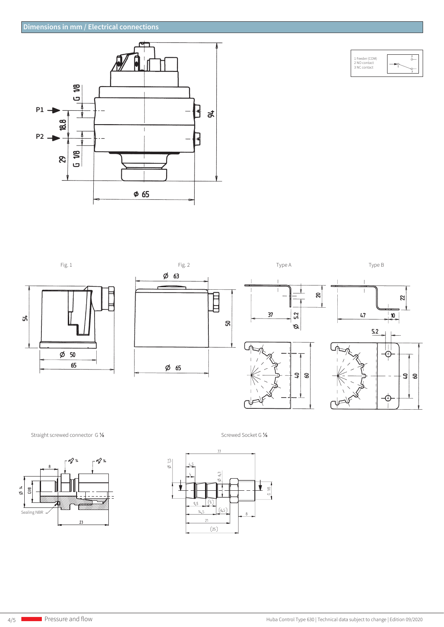



 $\mathbf{z}$ 

 $\frac{3}{2}$ 

 $\emptyset$  63 Ē ន  $\phi$  50 65  $\phi$  65



Straight screwed connector G 1/8 Screwed Socket G 1/8

ង